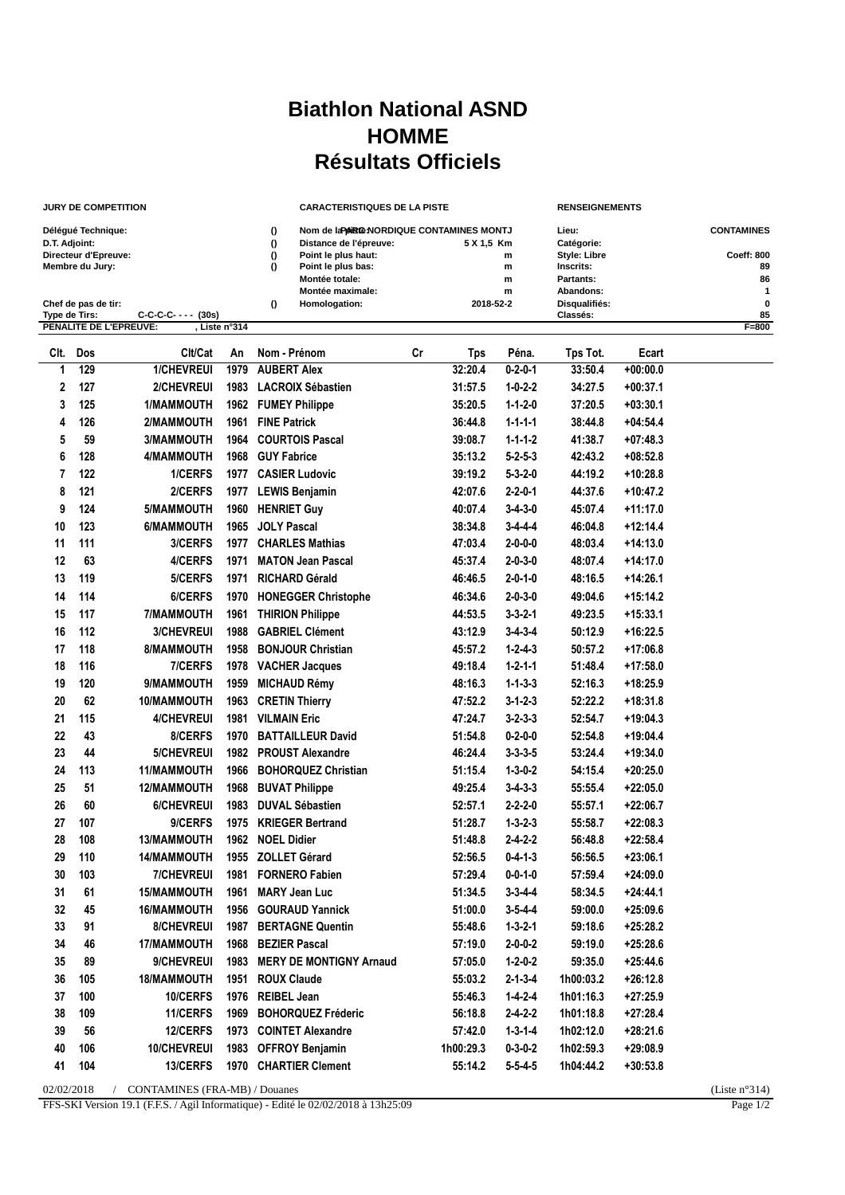## **Biathlon National ASND HOMME Résultats Officiels**

**JURY DE COMPETITION CARACTERISTIQUES DE LA PISTE RENSEIGNEMENTS**

| Délégué Technique:   |                               |                           | $\bf{0}$<br>Nom de la PAIR CONTAMINES MONTJ |                                    |    |            | Lieu:               |                           | <b>CONTAMINES</b> |         |
|----------------------|-------------------------------|---------------------------|---------------------------------------------|------------------------------------|----|------------|---------------------|---------------------------|-------------------|---------|
| D.T. Adjoint:        |                               |                           |                                             | Distance de l'épreuve:<br>$\Omega$ |    | 5 X 1,5 Km |                     | Catégorie:                |                   |         |
| Directeur d'Epreuve: |                               |                           | Point le plus haut:<br>$\Omega$             |                                    |    | m          | <b>Style: Libre</b> |                           | Coeff: 800        |         |
|                      | Membre du Jury:               |                           |                                             | $\Omega$<br>Point le plus bas:     |    |            | m                   | Inscrits:                 |                   | 89      |
|                      |                               |                           |                                             | Montée totale:                     |    |            | m                   | Partants:                 |                   | 86      |
|                      |                               |                           |                                             | Montée maximale:                   |    |            | m                   | Abandons:                 |                   | 1       |
| Type de Tirs:        | Chef de pas de tir:           | $C-C-C-C--- (30s)$        |                                             | Homologation:<br>$\Omega$          |    | 2018-52-2  |                     | Disqualifiés:<br>Classés: |                   | 0<br>85 |
|                      | <b>PENALITE DE L'EPREUVE:</b> |                           | Liste n°314                                 |                                    |    |            |                     |                           |                   | $F=800$ |
| CIt.                 | Dos                           | Clt/Cat                   | An                                          | Nom - Prénom                       | Cr | <b>Tps</b> | Péna.               | Tps Tot.                  | Ecart             |         |
| 1                    | 129                           | 1/CHEVREUI                | 1979                                        | <b>AUBERT Alex</b>                 |    | 32:20.4    | $0 - 2 - 0 - 1$     | 33:50.4                   | $+00:00.0$        |         |
| $\mathbf{2}$         | 127                           | 2/CHEVREUI                | 1983                                        | <b>LACROIX Sébastien</b>           |    | 31:57.5    | $1 - 0 - 2 - 2$     | 34:27.5                   | $+00:37.1$        |         |
| 3                    | 125                           | <b>1/MAMMOUTH</b>         | 1962                                        | <b>FUMEY Philippe</b>              |    | 35:20.5    | $1 - 1 - 2 - 0$     | 37:20.5                   | $+03:30.1$        |         |
| 4                    | 126                           | 2/MAMMOUTH                | 1961                                        | <b>FINE Patrick</b>                |    | 36:44.8    | $1 - 1 - 1 - 1$     | 38:44.8                   | $+04:54.4$        |         |
| 5                    | 59                            | 3/MAMMOUTH                | 1964                                        | <b>COURTOIS Pascal</b>             |    | 39:08.7    | $1 - 1 - 1 - 2$     | 41:38.7                   | $+07:48.3$        |         |
| 6                    | 128                           | 4/MAMMOUTH                | 1968                                        | <b>GUY Fabrice</b>                 |    | 35:13.2    | $5 - 2 - 5 - 3$     | 42:43.2                   | $+08:52.8$        |         |
|                      | 122                           | 1/CERFS                   | 1977                                        | <b>CASIER Ludovic</b>              |    | 39:19.2    | $5 - 3 - 2 - 0$     | 44:19.2                   | $+10:28.8$        |         |
| 8                    | 121                           | 2/CERFS                   | 1977                                        | <b>LEWIS Benjamin</b>              |    | 42:07.6    | $2 - 2 - 0 - 1$     | 44:37.6                   | $+10:47.2$        |         |
| 9                    | 124                           | 5/MAMMOUTH                | 1960                                        | <b>HENRIET Guy</b>                 |    | 40:07.4    | $3 - 4 - 3 - 0$     | 45:07.4                   | $+11:17.0$        |         |
| 10                   | 123                           | 6/MAMMOUTH                | 1965                                        | <b>JOLY Pascal</b>                 |    | 38:34.8    | $3 - 4 - 4 - 4$     | 46:04.8                   | $+12:14.4$        |         |
| 11                   | 111                           | 3/CERFS                   | 1977                                        | <b>CHARLES Mathias</b>             |    | 47:03.4    | $2 - 0 - 0 - 0$     | 48:03.4                   | $+14:13.0$        |         |
| 12                   | 63                            | 4/CERFS                   | 1971                                        | <b>MATON Jean Pascal</b>           |    | 45:37.4    | $2 - 0 - 3 - 0$     | 48:07.4                   | $+14:17.0$        |         |
| 13                   | 119                           | 5/CERFS                   | 1971                                        | <b>RICHARD Gérald</b>              |    | 46:46.5    | $2 - 0 - 1 - 0$     | 48:16.5                   | $+14:26.1$        |         |
| 14                   | 114                           | 6/CERFS                   | 1970                                        | <b>HONEGGER Christophe</b>         |    | 46:34.6    | $2 - 0 - 3 - 0$     | 49:04.6                   | $+15:14.2$        |         |
| 15                   | 117                           | <b>7/MAMMOUTH</b>         | 1961                                        | <b>THIRION Philippe</b>            |    | 44:53.5    | $3 - 3 - 2 - 1$     | 49:23.5                   | $+15:33.1$        |         |
| 16                   | 112                           | <b>3/CHEVREUI</b>         | 1988                                        | <b>GABRIEL Clément</b>             |    | 43:12.9    | $3 - 4 - 3 - 4$     | 50:12.9                   | $+16:22.5$        |         |
| 17                   | 118                           | 8/MAMMOUTH                | 1958                                        | <b>BONJOUR Christian</b>           |    | 45:57.2    | $1 - 2 - 4 - 3$     | 50:57.2                   | $+17:06.8$        |         |
| 18                   | 116                           | 7/CERFS                   | 1978                                        | <b>VACHER Jacques</b>              |    | 49:18.4    | $1 - 2 - 1 - 1$     | 51:48.4                   | $+17:58.0$        |         |
| 19                   | 120                           | 9/MAMMOUTH                | 1959                                        | <b>MICHAUD Rémy</b>                |    | 48:16.3    | $1 - 1 - 3 - 3$     | 52:16.3                   | $+18:25.9$        |         |
| 20                   | 62                            | <b>10/MAMMOUTH</b>        | 1963                                        | <b>CRETIN Thierry</b>              |    | 47:52.2    | $3 - 1 - 2 - 3$     | 52:22.2                   | $+18:31.8$        |         |
| 21                   | 115                           | <i><b>AICHEVDELIL</b></i> |                                             | 1081 VII MAIN Eric                 |    | A7.2A7     | $2 - 2 - 2 - 2$     | 52.517                    | +10·0 <i>1</i> 2  |         |

|    | טוו | ᇭᇭ <b>ᅎᆙᄞᄭᇰ</b> ᄓ  | טטטו | <b>DOINOODIN OMINUMI</b>       | ב. וטוס   |                 | JU.JI.Z   | .          |
|----|-----|--------------------|------|--------------------------------|-----------|-----------------|-----------|------------|
| 18 | 116 | 7/CERFS            |      | 1978 VACHER Jacques            | 49:18.4   | $1 - 2 - 1 - 1$ | 51:48.4   | $+17:58.0$ |
| 19 | 120 | 9/MAMMOUTH         | 1959 | <b>MICHAUD Rémy</b>            | 48:16.3   | $1 - 1 - 3 - 3$ | 52:16.3   | $+18:25.9$ |
| 20 | 62  | <b>10/MAMMOUTH</b> | 1963 | <b>CRETIN Thierry</b>          | 47:52.2   | $3 - 1 - 2 - 3$ | 52:22.2   | +18:31.8   |
| 21 | 115 | <b>4/CHEVREUI</b>  | 1981 | <b>VILMAIN Eric</b>            | 47:24.7   | $3 - 2 - 3 - 3$ | 52:54.7   | +19:04.3   |
| 22 | 43  | 8/CERFS            | 1970 | <b>BATTAILLEUR David</b>       | 51:54.8   | $0 - 2 - 0 - 0$ | 52:54.8   | $+19:04.4$ |
| 23 | 44  | 5/CHEVREUI         | 1982 | <b>PROUST Alexandre</b>        | 46:24.4   | $3 - 3 - 3 - 5$ | 53:24.4   | $+19:34.0$ |
| 24 | 113 | <b>11/MAMMOUTH</b> | 1966 | <b>BOHORQUEZ Christian</b>     | 51:15.4   | $1 - 3 - 0 - 2$ | 54:15.4   | $+20:25.0$ |
| 25 | 51  | <b>12/MAMMOUTH</b> | 1968 | <b>BUVAT Philippe</b>          | 49:25.4   | $3 - 4 - 3 - 3$ | 55:55.4   | $+22:05.0$ |
| 26 | 60  | 6/CHEVREUI         | 1983 | <b>DUVAL Sébastien</b>         | 52:57.1   | $2 - 2 - 2 - 0$ | 55:57.1   | $+22:06.7$ |
| 27 | 107 | 9/CERFS            | 1975 | <b>KRIEGER Bertrand</b>        | 51:28.7   | $1 - 3 - 2 - 3$ | 55:58.7   | $+22:08.3$ |
| 28 | 108 | <b>13/MAMMOUTH</b> | 1962 | <b>NOEL Didier</b>             | 51:48.8   | $2 - 4 - 2 - 2$ | 56:48.8   | $+22:58.4$ |
| 29 | 110 | <b>14/MAMMOUTH</b> | 1955 | <b>ZOLLET Gérard</b>           | 52:56.5   | $0 - 4 - 1 - 3$ | 56:56.5   | $+23:06.1$ |
| 30 | 103 | <b>7/CHEVREUI</b>  | 1981 | <b>FORNERO Fabien</b>          | 57:29.4   | $0 - 0 - 1 - 0$ | 57:59.4   | $+24:09.0$ |
| 31 | 61  | <b>15/MAMMOUTH</b> | 1961 | <b>MARY Jean Luc</b>           | 51:34.5   | $3 - 3 - 4 - 4$ | 58:34.5   | $+24:44.1$ |
| 32 | 45  | <b>16/MAMMOUTH</b> | 1956 | <b>GOURAUD Yannick</b>         | 51:00.0   | $3 - 5 - 4 - 4$ | 59:00.0   | $+25:09.6$ |
| 33 | 91  | 8/CHEVREUI         | 1987 | <b>BERTAGNE Quentin</b>        | 55:48.6   | $1 - 3 - 2 - 1$ | 59:18.6   | $+25:28.2$ |
| 34 | 46  | <b>17/MAMMOUTH</b> | 1968 | <b>BEZIER Pascal</b>           | 57:19.0   | $2 - 0 - 0 - 2$ | 59:19.0   | $+25:28.6$ |
| 35 | 89  | 9/CHEVREUI         | 1983 | <b>MERY DE MONTIGNY Arnaud</b> | 57:05.0   | $1 - 2 - 0 - 2$ | 59:35.0   | $+25:44.6$ |
| 36 | 105 | <b>18/MAMMOUTH</b> | 1951 | <b>ROUX Claude</b>             | 55:03.2   | $2 - 1 - 3 - 4$ | 1h00:03.2 | $+26:12.8$ |
| 37 | 100 | 10/CERFS           | 1976 | <b>REIBEL Jean</b>             | 55:46.3   | $1 - 4 - 2 - 4$ | 1h01:16.3 | $+27:25.9$ |
| 38 | 109 | 11/CERFS           | 1969 | <b>BOHORQUEZ Fréderic</b>      | 56:18.8   | $2 - 4 - 2 - 2$ | 1h01:18.8 | $+27:28.4$ |
| 39 | 56  | 12/CERFS           | 1973 | <b>COINTET Alexandre</b>       | 57:42.0   | $1 - 3 - 1 - 4$ | 1h02:12.0 | $+28:21.6$ |
| 40 | 106 | <b>10/CHEVREUI</b> | 1983 | <b>OFFROY Benjamin</b>         | 1h00:29.3 | $0 - 3 - 0 - 2$ | 1h02:59.3 | $+29:08.9$ |
| 41 | 104 | 13/CERFS           |      | 1970 CHARTIER Clement          | 55:14.2   | $5 - 5 - 4 - 5$ | 1h04:44.2 | $+30:53.8$ |

02/02/2018 / CONTAMINES (FRA-MB) / Douanes (Liste n°314)

 $\overline{a}$ 

FFS-SKI Version 19.1 (F.F.S. / Agil Informatique) - Edité le 02/02/2018 à 13h25:09 Page 1/2